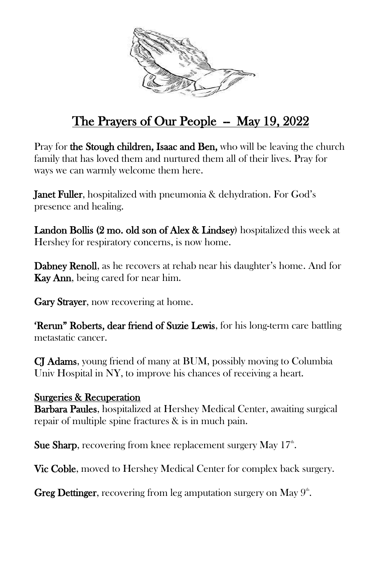

## The Prayers of Our People  $-$  May 19, 2022

Pray for the Stough children, Isaac and Ben, who will be leaving the church family that has loved them and nurtured them all of their lives. Pray for ways we can warmly welcome them here.

Janet Fuller, hospitalized with pneumonia & dehydration. For God's presence and healing.

Landon Bollis (2 mo. old son of Alex & Lindsey) hospitalized this week at Hershey for respiratory concerns, is now home.

Dabney Renoll, as he recovers at rehab near his daughter's home. And for Kay Ann, being cared for near him.

**Gary Strayer**, now recovering at home.

'Rerun" Roberts, dear friend of Suzie Lewis, for his long-term care battling metastatic cancer.

CJ Adams, young friend of many at BUM, possibly moving to Columbia Univ Hospital in NY, to improve his chances of receiving a heart.

## Surgeries & Recuperation

**Barbara Paules, hospitalized at Hershey Medical Center, awaiting surgical** repair of multiple spine fractures & is in much pain.

Sue Sharp, recovering from knee replacement surgery May  $17<sup>th</sup>$ .

Vic Coble, moved to Hershey Medical Center for complex back surgery.

Greg Dettinger, recovering from leg amputation surgery on May  $9^{\text{th}}$ .